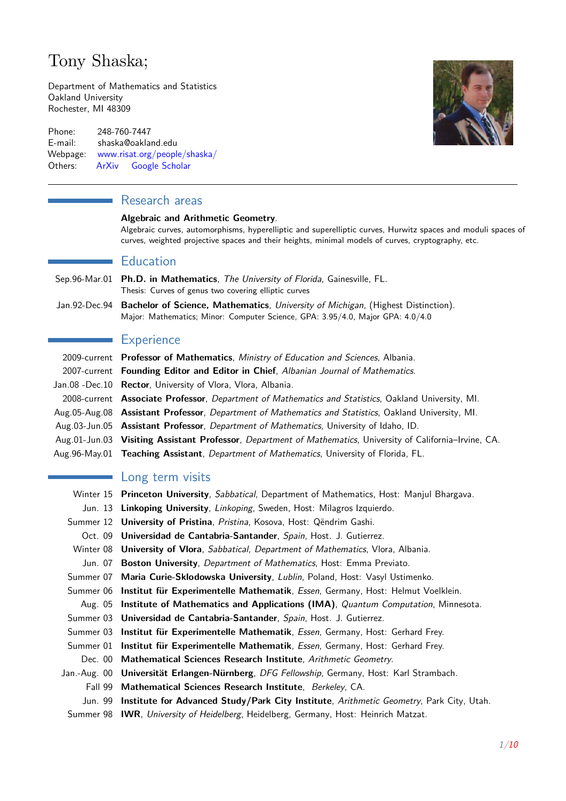# Tony Shaska;

Department of Mathematics and Statistics Oakland University Rochester, MI 48309

Phone: 248-760-7447 E-mail: shaska@oakland.edu Webpage: [www.risat.org/people/shaska/](http://www.risat.org/people/shaska/) Others: [ArXiv](http://arxiv.org/find/all/1/all:+shaska/0/1/0/all/0/1) [Google Scholar](http://scholar.google.com/citations?user=9_X3CoMAAAAJ&hl=en)

# **Research areas**

### **Algebraic and Arithmetic Geometry**.

Algebraic curves, automorphisms, hyperelliptic and superelliptic curves, Hurwitz spaces and moduli spaces of curves, weighted projective spaces and their heights, minimal models of curves, cryptography, etc.

### **Education**

- Sep.96-Mar.01 **Ph.D. in Mathematics**, The University of Florida, Gainesville, FL. Thesis: Curves of genus two covering elliptic curves
- Jan.92-Dec.94 **Bachelor of Science, Mathematics**, University of Michigan, (Highest Distinction). Major: Mathematics; Minor: Computer Science, GPA: 3.95/4.0, Major GPA: 4.0/4.0

# **Experience**

| 2009-current Professor of Mathematics, Ministry of Education and Sciences, Albania.                                 |
|---------------------------------------------------------------------------------------------------------------------|
| 2007-current Founding Editor and Editor in Chief, Albanian Journal of Mathematics.                                  |
| Jan.08 -Dec.10 Rector, University of Vlora, Vlora, Albania.                                                         |
| 2008-current <b>Associate Professor</b> , <i>Department of Mathematics and Statistics</i> , Oakland University, MI. |
| Aug.05-Aug.08 Assistant Professor, Department of Mathematics and Statistics, Oakland University, MI.                |
| Aug.03-Jun.05 <b>Assistant Professor</b> , <i>Department of Mathematics</i> , University of Idaho, ID.              |
| Aug.01-Jun.03 Visiting Assistant Professor, Department of Mathematics, University of California–Irvine, CA.         |
| Aug.96-May.01 Teaching Assistant, Department of Mathematics, University of Florida, FL.                             |
|                                                                                                                     |

# Long term visits

|         | Winter 15 Princeton University, Sabbatical, Department of Mathematics, Host: Manjul Bhargava.   |
|---------|-------------------------------------------------------------------------------------------------|
|         | Jun. 13 Linkoping University, Linkoping, Sweden, Host: Milagros Izquierdo.                      |
|         | Summer 12 University of Pristina, Pristina, Kosova, Host: Qëndrim Gashi.                        |
|         | Oct. 09 Universidad de Cantabria-Santander, Spain, Host. J. Gutierrez.                          |
|         | Winter 08 <b>University of Vlora</b> , Sabbatical, Department of Mathematics, Vlora, Albania.   |
|         | Jun. 07 Boston University, Department of Mathematics, Host: Emma Previato.                      |
|         | Summer 07 Maria Curie-Sklodowska University, Lublin, Poland, Host: Vasyl Ustimenko.             |
|         | Summer 06 Institut für Experimentelle Mathematik, Essen, Germany, Host: Helmut Voelklein.       |
|         | Aug. 05 Institute of Mathematics and Applications (IMA), Quantum Computation, Minnesota.        |
|         | Summer 03 Universidad de Cantabria-Santander, Spain, Host. J. Gutierrez.                        |
|         | Summer 03 Institut für Experimentelle Mathematik, Essen, Germany, Host: Gerhard Frey.           |
|         | Summer 01 Institut für Experimentelle Mathematik, Essen, Germany, Host: Gerhard Frey.           |
|         | Dec. 00 Mathematical Sciences Research Institute, Arithmetic Geometry.                          |
|         | Jan.-Aug. 00 Universität Erlangen-Nürnberg, DFG Fellowship, Germany, Host: Karl Strambach.      |
| Fall 99 | Mathematical Sciences Research Institute, Berkeley, CA.                                         |
|         | Jun. 99 Institute for Advanced Study/Park City Institute, Arithmetic Geometry, Park City, Utah. |
|         | Summer 98 IWR, University of Heidelberg, Heidelberg, Germany, Host: Heinrich Matzat.            |

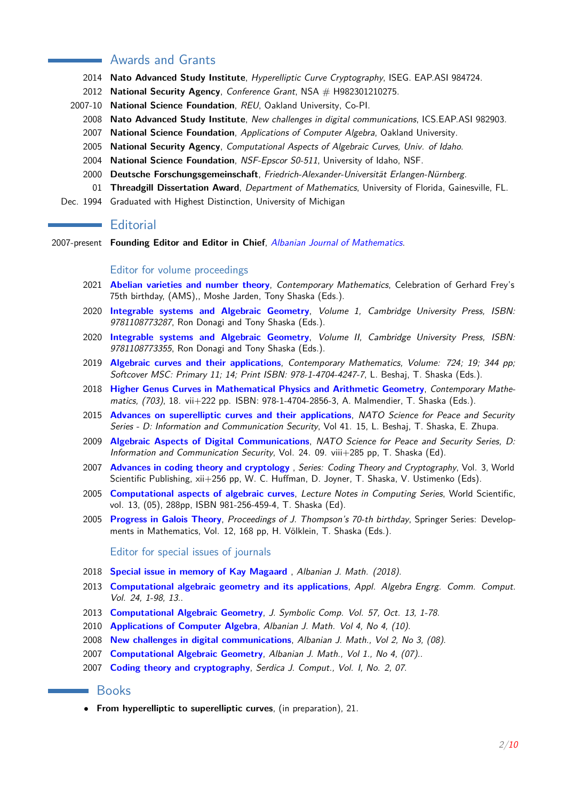# Awards and Grants

- **Nato Advanced Study Institute**, Hyperelliptic Curve Cryptography, ISEG. EAP.ASI 984724.
- **National Security Agency**, Conference Grant, NSA # H982301210275.
- 2007-10 **National Science Foundation**, REU, Oakland University, Co-PI.
	- **Nato Advanced Study Institute**, New challenges in digital communications, ICS.EAP.ASI 982903.
	- **National Science Foundation**, Applications of Computer Algebra, Oakland University.
	- **National Security Agency**, Computational Aspects of Algebraic Curves, Univ. of Idaho.
	- **National Science Foundation**, NSF-Epscor S0-511, University of Idaho, NSF.
	- **Deutsche Forschungsgemeinschaft**, Friedrich-Alexander-Universität Erlangen-Nürnberg.
	- **Threadgill Dissertation Award**, Department of Mathematics, University of Florida, Gainesville, FL.
- Dec. 1994 Graduated with Highest Distinction, University of Michigan

### **Editorial**

2007-present **Founding Editor and Editor in Chief**, [Albanian Journal of Mathematics](http://albanian-j-math.com).

#### Editor for volume proceedings

- **[Abelian varieties and number theory](http://bookstore.ams.org/CONM)**, Contemporary Mathematics, Celebration of Gerhard Frey's 75th birthday, (AMS),, Moshe Jarden, Tony Shaska (Eds.).
- **[Integrable systems and Algebraic Geometry](https://www.cambridge.org/core/books/integrable-systems-and-algebraic-geometry/57226F2097722B1732C4DBFA2034DCC9)**, Volume 1, Cambridge University Press, ISBN: , Ron Donagi and Tony Shaska (Eds.).
- **[Integrable systems and Algebraic Geometry](https://www.cambridge.org/core/books/integrable-systems-and-algebraic-geometry/2ED81E9C0BB523DA71DB60195EE360C6)**, Volume II, Cambridge University Press, ISBN: , Ron Donagi and Tony Shaska (Eds.).
- **[Algebraic curves and their applications](http://bookstore.ams.org/CONM)**, Contemporary Mathematics, Volume: 724; 19; 344 pp; Softcover MSC: Primary 11; 14; Print ISBN: 978-1-4704-4247-7, L. Beshaj, T. Shaska (Eds.).
- **[Higher Genus Curves in Mathematical Physics and Arithmetic Geometry](https://bookstore.ams.org/conm-703/)**, Contemporary Mathematics, (703), 18. vii+222 pp. ISBN: 978-1-4704-2856-3, A. Malmendier, T. Shaska (Eds.).
- **[Advances on superelliptic curves and their applications](http://www.iospress.nl/book/advances-on-superelliptic-curves-and-their-applications-2/)**, NATO Science for Peace and Security Series - D: Information and Communication Security, Vol 41. 15, L. Beshaj, T. Shaska, E. Zhupa.
- **[Algebraic Aspects of Digital Communications](http://ebooks.iospress.nl/volume/algebraic-aspects-of-digital-communications)**, NATO Science for Peace and Security Series, D: Information and Communication Security, Vol. 24. 09. viii+285 pp, T. Shaska (Ed).
- **[Advances in coding theory and cryptology](http://www.worldscientific.com/worldscibooks/10.1142/6464)** , Series: Coding Theory and Cryptography, Vol. 3, World Scientific Publishing, xii+256 pp, W. C. Huffman, D. Joyner, T. Shaska, V. Ustimenko (Eds).
- **[Computational aspects of algebraic curves](http://www.worldscientific.com/worldscibooks/10.1142/5916)**, Lecture Notes in Computing Series, World Scientific, vol. 13, (05), 288pp, ISBN 981-256-459-4, T. Shaska (Ed).
- **[Progress in Galois Theory](http://www.springer.com/mathematics/algebra/book/978-0-387-23533-2)**, Proceedings of J. Thompson's 70-th birthday, Springer Series: Developments in Mathematics, Vol. 12, 168 pp, H. Völklein, T. Shaska (Eds.).

Editor for special issues of journals

- **[Special issue in memory of Kay Magaard](http://www.albanian-j-math.com)** , Albanian J. Math. (2018).
- **[Computational algebraic geometry and its applications](http://link.springer.com/journal/200/24/5/page/1)**, Appl. Algebra Engrg. Comm. Comput. Vol. 24, 1-98, 13..
- **[Computational Algebraic Geometry](http://www.sciencedirect.com/science/journal/07477171/57)**, J. Symbolic Comp. Vol. 57, Oct. 13, 1-78.
- **[Applications of Computer Algebra](http://albanian-j-math.com/vol-4.html)**, Albanian J. Math. Vol 4, No 4, (10).
- **[New challenges in digital communications](https://sites.google.com/site/albjmath/archives/sp-08)**, Albanian J. Math., Vol 2, No 3, (08).
- **[Computational Algebraic Geometry](https://sites.google.com/site/albjmath/archives/sp-07)**, Albanian J. Math., Vol 1., No 4, (07)..
- **[Coding theory and cryptography](http://www.oakland.edu/~shaska)**, Serdica J. Comput., Vol. I, No. 2, 07.

### **Books**

• **From hyperelliptic to superelliptic curves**, (in preparation), 21.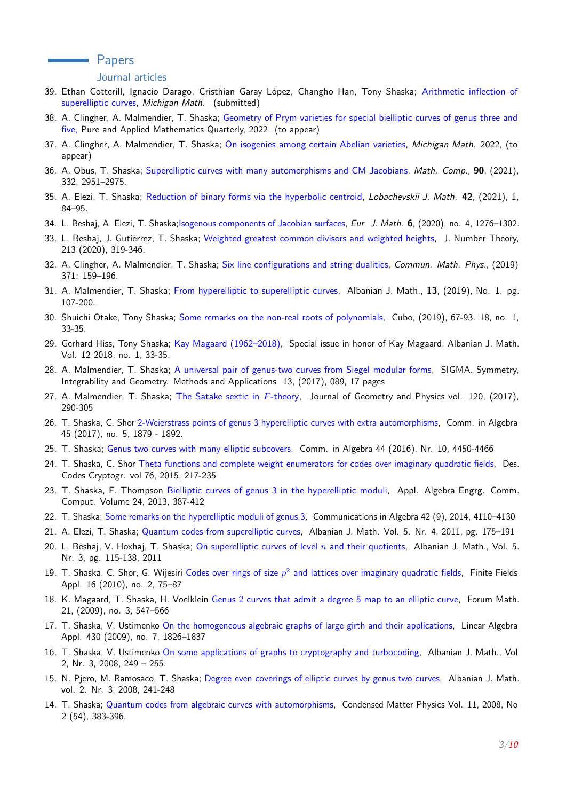### **Example 2** Papers

#### Journal articles

- 39. Ethan Cotterill, Ignacio Darago, Cristhian Garay López, Changho Han, Tony Shaska; [Arithmetic inflection of](https://arxiv.org/abs/2110.04813) [superelliptic curves,](https://arxiv.org/abs/2110.04813) Michigan Math. (submitted)
- 38. A. Clingher, A. Malmendier, T. Shaska; [Geometry of Prym varieties for special bielliptic curves of genus three and](https://www.intlpress.com/site/pub/pages/journals/items/pamq/_home/acceptedpapers/index.php) [five,](https://www.intlpress.com/site/pub/pages/journals/items/pamq/_home/acceptedpapers/index.php) Pure and Applied Mathematics Quarterly, 2022. (to appear)
- 37. A. Clingher, A. Malmendier, T. Shaska; [On isogenies among certain Abelian varieties,](https://projecteuclid.org/euclid.mmj/1608692431) Michigan Math. 2022, (to appear)
- 36. A. Obus, T. Shaska; [Superelliptic curves with many automorphisms and CM Jacobians,](https://doi.org/10.1090/mcom/3639) Math. Comp., **90**, (2021), 332, 2951–2975.
- 35. A. Elezi, T. Shaska; [Reduction of binary forms via the hyperbolic centroid,](https://arxiv.org/abs/1705.02618) Lobachevskii J. Math. **42**, (2021), 1, 84–95.
- 34. L. Beshaj, A. Elezi, T. Shaska[;Isogenous components of Jacobian surfaces,](https://link.springer.com/article/10.1007/s40879-019-00375-y) Eur. J. Math. **6**, (2020), no. 4, 1276–1302.
- 33. L. Beshaj, J. Gutierrez, T. Shaska; [Weighted greatest common divisors and weighted heights,](https://www.sciencedirect.com/science/article/abs/pii/S0022314X20300202) J. Number Theory, 213 (2020), 319-346.
- 32. A. Clingher, A. Malmendier, T. Shaska; [Six line configurations and string dualities,](https://link.springer.com/article/10.1007/s00220-019-03372-0) Commun. Math. Phys., (2019) 371: 159–196.
- 31. A. Malmendier, T. Shaska; [From hyperelliptic to superelliptic curves,](http://albanian-j-math.com/archives/2019-03.pdf) Albanian J. Math., **13**, (2019), No. 1. pg. 107-200.
- 30. Shuichi Otake, Tony Shaska; [Some remarks on the non-real roots of polynomials,](https://doi.org/10.4067/S0719-0646180000067) Cubo, (2019), 67-93. 18, no. 1, 33-35.
- 29. Gerhard Hiss, Tony Shaska; [Kay Magaard \(1962–2018\),](http://albanian-j-math.com/archives/18-05.pdf) Special issue in honor of Kay Magaard, Albanian J. Math. Vol. 12 2018, no. 1, 33-35.
- 28. A. Malmendier, T. Shaska; [A universal pair of genus-two curves from Siegel modular forms,](https://www.emis.de/journals/SIGMA/17/089/) SIGMA. Symmetry, Integrability and Geometry. Methods and Applications 13, (2017), 089, 17 pages
- 27. A. Malmendier, T. Shaska; [The Satake sextic in](https://arxiv.org/abs/1609.04341) *F*-theory, Journal of Geometry and Physics vol. 120, (2017), 290-305
- 26. T. Shaska, C. Shor [2-Weierstrass points of genus 3 hyperelliptic curves with extra automorphisms,](http://arxiv.org/abs/1307.8177) Comm. in Algebra 45 (2017), no. 5, 1879 - 1892.
- 25. T. Shaska; [Genus two curves with many elliptic subcovers,](http://arxiv.org/abs/1209.0434) Comm. in Algebra 44 (2016), Nr. 10, 4450-4466
- 24. T. Shaska, C. Shor [Theta functions and complete weight enumerators for codes over imaginary quadratic fields,](http://link.springer.com/article/10.1007/s10623-014-9943-7) Des. Codes Cryptogr. vol 76, 2015, 217-235
- 23. T. Shaska, F. Thompson [Bielliptic curves of genus 3 in the hyperelliptic moduli,](http://link.springer.com/article/10.1007/s00200-013-0209-9) Appl. Algebra Engrg. Comm. Comput. Volume 24, 2013, 387-412
- 22. T. Shaska; [Some remarks on the hyperelliptic moduli of genus 3,](http://www.tandfonline.com/doi/abs/10.1080/00927872.13.791305#.VIdEaKTF9hw) Communications in Algebra 42 (9), 2014, 4110–4130
- 21. A. Elezi, T. Shaska; [Quantum codes from superelliptic curves,](http://journals.aulonapress.com/index.php/ajm/article/view/440) Albanian J. Math. Vol. 5. Nr. 4, 2011, pg. 175–191
- 20. L. Beshaj, V. Hoxhaj, T. Shaska; [On superelliptic curves of level](https://docs.google.com/viewer?a=v&pid=sites&srcid=ZGVmYXVsdGRvbWFpbnxhbGJqbWF0aHxneDozZjExY2ZkYTE3Njk2NGE4) *n* and their quotients, Albanian J. Math., Vol. 5. Nr. 3, pg. 115-138, 2011
- 19. T. Shaska, C. Shor, G. Wijesiri Codes over rings of size  $p^2$  [and lattices over imaginary quadratic fields,](http://www.sciencedirect.com/science/article/pii/S1071579710000158) Finite Fields Appl. 16 (2010), no. 2, 75–87
- 18. K. Magaard, T. Shaska, H. Voelklein [Genus 2 curves that admit a degree 5 map to an elliptic curve,](http://www.degruyter.com/view/j/form.09.21.issue-3/forum.09.027/forum.09.027.xml) Forum Math. 21, (2009), no. 3, 547–566
- 17. T. Shaska, V. Ustimenko [On the homogeneous algebraic graphs of large girth and their applications,](http://www.sciencedirect.com/science/article/pii/S0024379508004126) Linear Algebra Appl. 430 (2009), no. 7, 1826–1837
- 16. T. Shaska, V. Ustimenko [On some applications of graphs to cryptography and turbocoding,](https://docs.google.com/viewer?a=v&pid=sites&srcid=ZGVmYXVsdGRvbWFpbnxhbGJqbWF0aHxneDoyZDA0YWQ1ZmU5ZmQxMjgz) Albanian J. Math., Vol 2, Nr. 3, 2008, 249 – 255.
- 15. N. Pjero, M. Ramosaco, T. Shaska; [Degree even coverings of elliptic curves by genus two curves,](https://files.oakland.edu/users/shaska/web/papers/sh-08-4.pdf) Albanian J. Math. vol. 2. Nr. 3, 2008, 241-248
- 14. T. Shaska; [Quantum codes from algebraic curves with automorphisms,](https://files.oakland.edu/users/shaska/web/papers/sh-07-5.pdf) Condensed Matter Physics Vol. 11, 2008, No 2 (54), 383-396.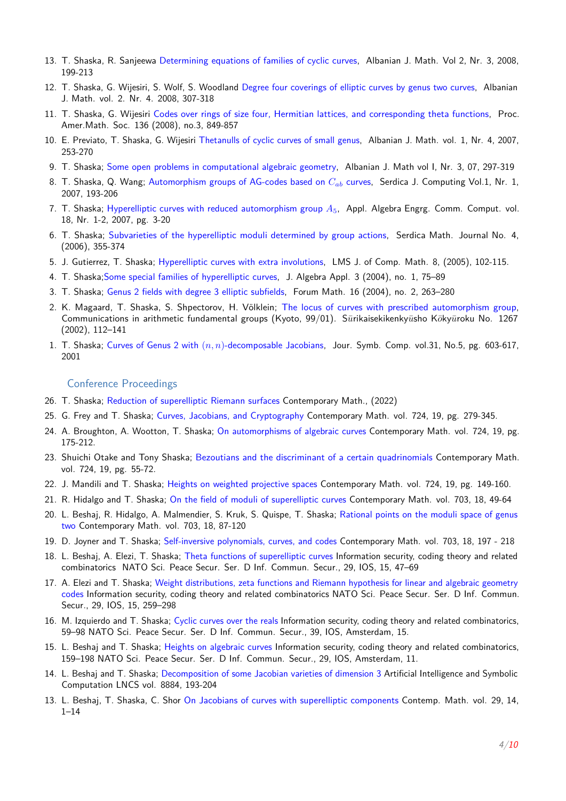- 13. T. Shaska, R. Sanjeewa [Determining equations of families of cyclic curves,](http://journals.aulonapress.com/index.php/ajm/article/view/53) Albanian J. Math. Vol 2, Nr. 3, 2008, 199-213
- 12. T. Shaska, G. Wijesiri, S. Wolf, S. Woodland [Degree four coverings of elliptic curves by genus two curves,](http://arxiv.org/abs/1301.4596) Albanian J. Math. vol. 2. Nr. 4. 2008, 307-318
- 11. T. Shaska, G. Wijesiri [Codes over rings of size four, Hermitian lattices, and corresponding theta functions,](http://www.ams.org/journals/proc/08-136-03/S0002-9939-07-09152-6/) Proc. Amer.Math. Soc. 136 (2008), no.3, 849-857
- 10. E. Previato, T. Shaska, G. Wijesiri [Thetanulls of cyclic curves of small genus,](https://files.oakland.edu/users/shaska/web/papers/sh-07-3.pdf) Albanian J. Math. vol. 1, Nr. 4, 2007, 253-270
- 9. T. Shaska; [Some open problems in computational algebraic geometry,](https://files.oakland.edu/users/shaska/web/papers/sh-07-4.pdf) Albanian J. Math vol I, Nr. 3, 07, 297-319
- 8. T. Shaska, Q. Wang; [Automorphism groups of AG-codes based on](https://files.oakland.edu/users/shaska/web/papers/sh-06-1.pdf) *Cab* curves, Serdica J. Computing Vol.1, Nr. 1, 2007, 193-206
- 7. T. Shaska; [Hyperelliptic curves with reduced automorphism group](http://link.springer.com/article/10.1007%2Fs00200-006-0030-9) *A*5, Appl. Algebra Engrg. Comm. Comput. vol. 18, Nr. 1-2, 2007, pg. 3-20
- 6. T. Shaska; [Subvarieties of the hyperelliptic moduli determined by group actions,](http://arxiv.org/abs/1302.3974) Serdica Math. Journal No. 4, (2006), 355-374
- 5. J. Gutierrez, T. Shaska; [Hyperelliptic curves with extra involutions,](http://journals.cambridge.org/action/displayAbstract?fromPage=online&aid=6564888&fileId=S1461157000000917) LMS J. of Comp. Math. 8, (2005), 102-115.
- 4. T. Shaska[;Some special families of hyperelliptic curves,](http://www.worldscientific.com/doi/abs/10.1142/S0219498804000745) J. Algebra Appl. 3 (2004), no. 1, 75–89
- 3. T. Shaska; [Genus 2 fields with degree 3 elliptic subfields,](http://www.degruyter.com/view/j/form.04.16.issue-2/form.04.013/form.04.013.xml) Forum Math. 16 (2004), no. 2, 263–280
- 2. K. Magaard, T. Shaska, S. Shpectorov, H. Völklein; [The locus of curves with prescribed automorphism group,](https://files.oakland.edu/users/shaska/web/papers/sh-01-2.pdf) Communications in arithmetic fundamental groups (Kyoto, 99/01). Sūrikaisekikenkyūsho Kōkyūroku No. 1267 (2002), 112–141
- 1. T. Shaska; Curves of Genus 2 with (*n, n*)[-decomposable Jacobians,](http://www.sciencedirect.com/science/article/pii/S0747717101904390) Jour. Symb. Comp. vol.31, No.5, pg. 603-617, 2001

#### Conference Proceedings

- 26. T. Shaska; [Reduction of superelliptic Riemann surfaces](http://www.risat.org/A2G2/pdf/reduction.pdf) Contemporary Math., (2022)
- 25. G. Frey and T. Shaska; [Curves, Jacobians, and Cryptography](https://arxiv.org/abs/1807.05270) Contemporary Math. vol. 724, 19, pg. 279-345.
- 24. A. Broughton, A. Wootton, T. Shaska; [On automorphisms of algebraic curves](https://arxiv.org/abs/1807.02742) Contemporary Math. vol. 724, 19, pg. 175-212.
- 23. Shuichi Otake and Tony Shaska; [Bezoutians and the discriminant of a certain quadrinomials](https://arxiv.org/abs/1806.09008) Contemporary Math. vol. 724, 19, pg. 55-72.
- 22. J. Mandili and T. Shaska; [Heights on weighted projective spaces](https://arxiv.org/abs/1801.06250) Contemporary Math. vol. 724, 19, pg. 149-160.
- 21. R. Hidalgo and T. Shaska; [On the field of moduli of superelliptic curves](https://files.oakland.edu/users/shaska/web/papers/sh-16-1.pdf) Contemporary Math. vol. 703, 18, 49-64
- 20. L. Beshaj, R. Hidalgo, A. Malmendier, S. Kruk, S. Quispe, T. Shaska; [Rational points on the moduli space of genus](https://files.oakland.edu/users/shaska/web/papers/sh-16-5.pdf) [two](https://files.oakland.edu/users/shaska/web/papers/sh-16-5.pdf) Contemporary Math. vol. 703, 18, 87-120
- 19. D. Joyner and T. Shaska; [Self-inversive polynomials, curves, and codes](https://files.oakland.edu/users/shaska/web/papers/sh-16-3.pdf) Contemporary Math. vol. 703, 18, 197 218
- 18. L. Beshaj, A. Elezi, T. Shaska; [Theta functions of superelliptic curves](http://ebooks.iospress.nl/volumearticle/39738) Information security, coding theory and related combinatorics NATO Sci. Peace Secur. Ser. D Inf. Commun. Secur., 29, IOS, 15, 47–69
- 17. A. Elezi and T. Shaska; [Weight distributions, zeta functions and Riemann hypothesis for linear and algebraic geometry](http://ebooks.iospress.nl/volumearticle/39749) [codes](http://ebooks.iospress.nl/volumearticle/39749) Information security, coding theory and related combinatorics NATO Sci. Peace Secur. Ser. D Inf. Commun. Secur., 29, IOS, 15, 259–298
- 16. M. Izquierdo and T. Shaska; [Cyclic curves over the reals](http://ebooks.iospress.nl/volumearticle/39739) Information security, coding theory and related combinatorics, 59–98 NATO Sci. Peace Secur. Ser. D Inf. Commun. Secur., 39, IOS, Amsterdam, 15.
- 15. L. Beshaj and T. Shaska; [Heights on algebraic curves](http://arxiv.org/abs/1406.5659) Information security, coding theory and related combinatorics, 159–198 NATO Sci. Peace Secur. Ser. D Inf. Commun. Secur., 29, IOS, Amsterdam, 11.
- 14. L. Beshaj and T. Shaska; [Decomposition of some Jacobian varieties of dimension 3](http://link.springer.com/chapter/10.1007%2F978-3-319-13770-4_17) Artificial Intelligence and Symbolic Computation LNCS vol. 8884, 193-204
- 13. L. Beshaj, T. Shaska, C. Shor [On Jacobians of curves with superelliptic components](http://www.ams.org/books/conm/629/) Contemp. Math. vol. 29, 14, 1–14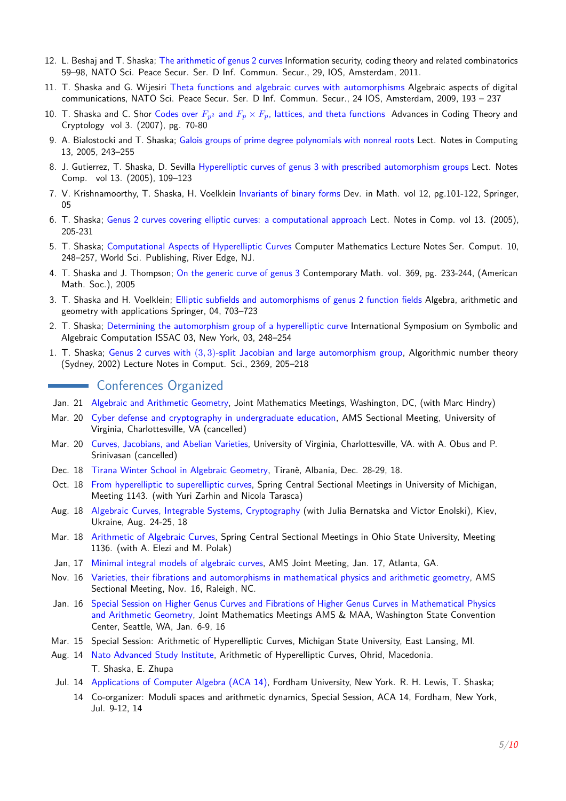- 12. L. Beshaj and T. Shaska; [The arithmetic of genus 2 curves](http://arxiv.org/abs/1209.0439) Information security, coding theory and related combinatorics 59–98, NATO Sci. Peace Secur. Ser. D Inf. Commun. Secur., 29, IOS, Amsterdam, 2011.
- 11. T. Shaska and G. Wijesiri [Theta functions and algebraic curves with automorphisms](https://files.oakland.edu/users/shaska/web/papers/sh-09-1.pdf) Algebraic aspects of digital communications, NATO Sci. Peace Secur. Ser. D Inf. Commun. Secur., 24 IOS, Amsterdam, 2009, 193 – 237
- 10. T. Shaska and C. Shor Codes over  $F_{n^2}$  and  $F_p \times F_p$ [, lattices, and theta functions](https://files.oakland.edu/users/shaska/web/papers/sh-06-3.pdf) Advances in Coding Theory and Cryptology vol 3. (2007), pg. 70-80
- 9. A. Bialostocki and T. Shaska; [Galois groups of prime degree polynomials with nonreal roots](https://arxiv.org/abs/math/0601397) Lect. Notes in Computing 13, 2005, 243–255
- 8. J. Gutierrez, T. Shaska, D. Sevilla [Hyperelliptic curves of genus 3 with prescribed automorphism groups](https://files.oakland.edu/users/shaska/web/papers/sh-05-3.pdf) Lect. Notes Comp. vol 13. (2005), 109–123
- 7. V. Krishnamoorthy, T. Shaska, H. Voelklein [Invariants of binary forms](http://link.springer.com/chapter/10.1007%2F0-387-23534-5_6) Dev. in Math. vol 12, pg.101-122, Springer, 05
- 6. T. Shaska; [Genus 2 curves covering elliptic curves: a computational approach](https://files.oakland.edu/users/shaska/web/papers/sh-04-2.pdf) Lect. Notes in Comp. vol 13. (2005), 205-231
- 5. T. Shaska; [Computational Aspects of Hyperelliptic Curves](https://files.oakland.edu/users/shaska/web/papers/sh-03-4.pdf) Computer Mathematics Lecture Notes Ser. Comput. 10, 248–257, World Sci. Publishing, River Edge, NJ.
- 4. T. Shaska and J. Thompson; [On the generic curve of genus 3](https://files.oakland.edu/users/shaska/web/papers/sh-03-1.pdf) Contemporary Math. vol. 369, pg. 233-244, (American Math. Soc.), 2005
- 3. T. Shaska and H. Voelklein; [Elliptic subfields and automorphisms of genus 2 function fields](http://link.springer.com/chapter/10.1007%2F978-3-642-18487-1_42) Algebra, arithmetic and geometry with applications Springer, 04, 703–723
- 2. T. Shaska; [Determining the automorphism group of a hyperelliptic curve](http://dl.acm.org/citation.cfm?doid=860854.860904) International Symposium on Symbolic and Algebraic Computation ISSAC 03, New York, 03, 248–254
- 1. T. Shaska; Genus 2 curves with (3*,* 3)[-split Jacobian and large automorphism group,](http://link.springer.com/chapter/10.1007%2F3-540-45455-1_17) Algorithmic number theory (Sydney, 2002) Lecture Notes in Comput. Sci., 2369, 205–218

### **Conferences Organized**

- Jan. 21 [Algebraic and Arithmetic Geometry,](http://www.risat.org/conf/arithmetic-2021.html) Joint Mathematics Meetings, Washington, DC, (with Marc Hindry)
- Mar. 20 [Cyber defense and cryptography in undergraduate education,](http://www.risat.org/conf/undergraduate.html) AMS Sectional Meeting, University of Virginia, Charlottesville, VA (cancelled)
- Mar. 20 [Curves, Jacobians, and Abelian Varieties,](http://www.risat.org/conf/virginia-20.html) University of Virginia, Charlottesville, VA. with A. Obus and P. Srinivasan (cancelled)
- Dec. 18 [Tirana Winter School in Algebraic Geometry,](https://sites.google.com/site/algcurves/conf/TWS18) Tiranë, Albania, Dec. 28-29, 18.
- Oct. 18 [From hyperelliptic to superelliptic curves,](https://sites.google.com/site/algcurves/conf/ann-arbor-18) Spring Central Sectional Meetings in University of Michigan, Meeting 1143. (with Yuri Zarhin and Nicola Tarasca)
- Aug. 18 [Algebraic Curves, Integrable Systems, Cryptography](http://physics.ukma.edu.ua/sci/aliscryp) (with Julia Bernatska and Victor Enolski), Kiev, Ukraine, Aug. 24-25, 18
- Mar. 18 [Arithmetic of Algebraic Curves,](https://sites.google.com/site/algcurves/conf/atlanta-17) Spring Central Sectional Meetings in Ohio State University, Meeting 1136. (with A. Elezi and M. Polak)
- Jan, 17 [Minimal integral models of algebraic curves,](https://sites.google.com/site/algcurves/conf/atlanta-17) AMS Joint Meeting, Jan. 17, Atlanta, GA.
- Nov. 16 [Varieties, their fibrations and automorphisms in mathematical physics and arithmetic geometry,](http://www.ams.org/meetings/sectional/2241_program_ss4.html) AMS Sectional Meeting, Nov. 16, Raleigh, NC.
- Jan. 16 [Special Session on Higher Genus Curves and Fibrations of Higher Genus Curves in Mathematical Physics](http://jointmathematicsmeetings.org/meetings/national/jmm16/2181_program_ss49.html) [and Arithmetic Geometry,](http://jointmathematicsmeetings.org/meetings/national/jmm16/2181_program_ss49.html) Joint Mathematics Meetings AMS & MAA, Washington State Convention Center, Seattle, WA, Jan. 6-9, 16
- Mar. 15 Special Session: Arithmetic of Hyperelliptic Curves, Michigan State University, East Lansing, MI.
- Aug. 14 [Nato Advanced Study Institute,](http://nato.risat.org) Arithmetic of Hyperelliptic Curves, Ohrid, Macedonia. T. Shaska, E. Zhupa
- Jul. 14 [Applications of Computer Algebra \(ACA 14\),](http://faculty.fordham.edu/rlewis/aca14/) Fordham University, New York. R. H. Lewis, T. Shaska;
	- 14 Co-organizer: Moduli spaces and arithmetic dynamics, Special Session, ACA 14, Fordham, New York, Jul. 9-12, 14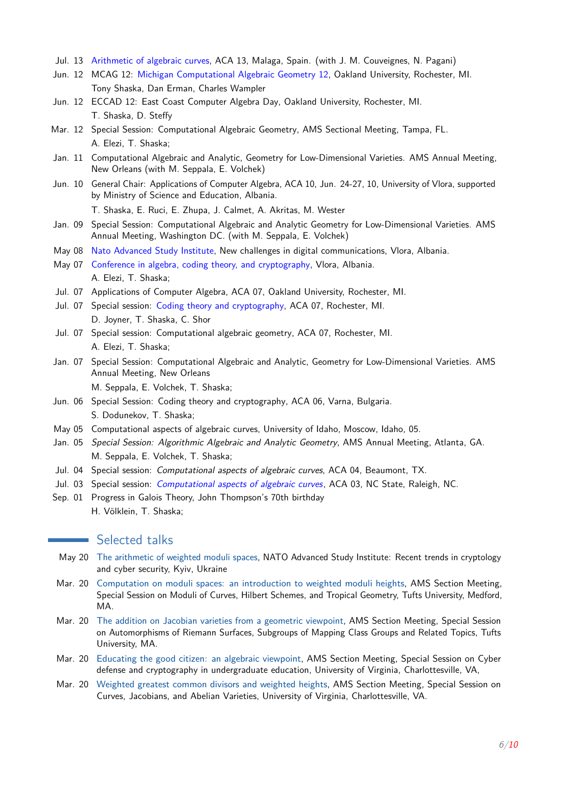- Jul. 13 [Arithmetic of algebraic curves,](https://sites.google.com/site/algcurves/conf/aca13) ACA 13, Malaga, Spain. (with J. M. Couveignes, N. Pagani)
- Jun. 12 MCAG 12: [Michigan Computational Algebraic Geometry 12,](https://sites.google.com/a/oakland.edu/algebra/home/conferences/michigan-computational-algebraic-geometry) Oakland University, Rochester, MI. Tony Shaska, Dan Erman, Charles Wampler
- Jun. 12 ECCAD 12: East Coast Computer Algebra Day, Oakland University, Rochester, MI. T. Shaska, D. Steffy
- Mar. 12 Special Session: Computational Algebraic Geometry, AMS Sectional Meeting, Tampa, FL. A. Elezi, T. Shaska;
- Jan. 11 Computational Algebraic and Analytic, Geometry for Low-Dimensional Varieties. AMS Annual Meeting, New Orleans (with M. Seppala, E. Volchek)
- Jun. 10 General Chair: Applications of Computer Algebra, ACA 10, Jun. 24-27, 10, University of Vlora, supported by Ministry of Science and Education, Albania.

T. Shaska, E. Ruci, E. Zhupa, J. Calmet, A. Akritas, M. Wester

- Jan. 09 Special Session: Computational Algebraic and Analytic Geometry for Low-Dimensional Varieties. AMS Annual Meeting, Washington DC. (with M. Seppala, E. Volchek)
- May 08 [Nato Advanced Study Institute,](https://sites.google.com/site/tshaska/home/upcoming-seminars/nato-advanced-study-institute) New challenges in digital communications, Vlora, Albania.
- May 07 [Conference in algebra, coding theory, and cryptography,](http://albmath.org/vlconf/07/index2.html) Vlora, Albania. A. Elezi, T. Shaska;
- Jul. 07 Applications of Computer Algebra, ACA 07, Oakland University, Rochester, MI.
- Jul. 07 Special session: [Coding theory and cryptography,](http://sage.math.washington.edu/home/wdj/aca07/) ACA 07, Rochester, MI. D. Joyner, T. Shaska, C. Shor
- Jul. 07 Special session: Computational algebraic geometry, ACA 07, Rochester, MI. A. Elezi, T. Shaska;
- Jan. 07 Special Session: Computational Algebraic and Analytic, Geometry for Low-Dimensional Varieties. AMS Annual Meeting, New Orleans

M. Seppala, E. Volchek, T. Shaska;

- Jun. 06 Special Session: Coding theory and cryptography, ACA 06, Varna, Bulgaria. S. Dodunekov, T. Shaska;
- May 05 Computational aspects of algebraic curves, University of Idaho, Moscow, Idaho, 05.
- Jan. 05 Special Session: Algorithmic Algebraic and Analytic Geometry, AMS Annual Meeting, Atlanta, GA. M. Seppala, E. Volchek, T. Shaska;
- Jul. 04 Special session: Computational aspects of algebraic curves, ACA 04, Beaumont, TX.
- Jul. 03 Special session: *[Computational aspects of algebraic curves](https://sites.google.com/site/tshaska/home/upcoming-seminars/aca-03)*, ACA 03, NC State, Raleigh, NC.
- Sep. 01 Progress in Galois Theory, John Thompson's 70th birthday H. Völklein, T. Shaska;

### **Selected talks**

- May 20 The arithmetic of weighted moduli spaces, NATO Advanced Study Institute: Recent trends in cryptology and cyber security, Kyiv, Ukraine
- Mar. 20 Computation on moduli spaces: an introduction to weighted moduli heights, AMS Section Meeting, Special Session on Moduli of Curves, Hilbert Schemes, and Tropical Geometry, Tufts University, Medford, MA.
- Mar. 20 The addition on Jacobian varieties from a geometric viewpoint, AMS Section Meeting, Special Session on Automorphisms of Riemann Surfaces, Subgroups of Mapping Class Groups and Related Topics, Tufts University, MA.
- Mar. 20 Educating the good citizen: an algebraic viewpoint, AMS Section Meeting, Special Session on Cyber defense and cryptography in undergraduate education, University of Virginia, Charlottesville, VA,
- Mar. 20 Weighted greatest common divisors and weighted heights, AMS Section Meeting, Special Session on Curves, Jacobians, and Abelian Varieties, University of Virginia, Charlottesville, VA.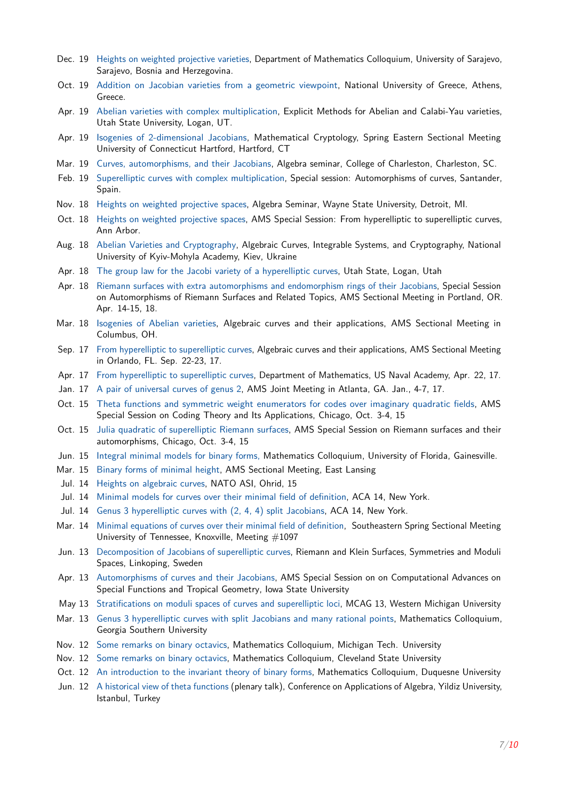- Dec. 19 Heights on weighted projective varieties, Department of Mathematics Colloquium, University of Sarajevo, Sarajevo, Bosnia and Herzegovina.
- Oct. 19 Addition on Jacobian varieties from a geometric viewpoint, National University of Greece, Athens, Greece.
- Apr. 19 Abelian varieties with complex multiplication, Explicit Methods for Abelian and Calabi-Yau varieties, Utah State University, Logan, UT.
- Apr. 19 Isogenies of 2-dimensional Jacobians, Mathematical Cryptology, Spring Eastern Sectional Meeting University of Connecticut Hartford, Hartford, CT
- Mar. 19 Curves, automorphisms, and their Jacobians, Algebra seminar, College of Charleston, Charleston, SC.
- Feb. 19 Superelliptic curves with complex multiplication, Special session: Automorphisms of curves, Santander, Spain.
- Nov. 18 Heights on weighted projective spaces, Algebra Seminar, Wayne State University, Detroit, MI.
- Oct. 18 Heights on weighted projective spaces, AMS Special Session: From hyperelliptic to superelliptic curves, Ann Arbor.
- Aug. 18 Abelian Varieties and Cryptography, Algebraic Curves, Integrable Systems, and Cryptography, National University of Kyiv-Mohyla Academy, Kiev, Ukraine
- Apr. 18 The group law for the Jacobi variety of a hyperelliptic curves, Utah State, Logan, Utah
- Apr. 18 Riemann surfaces with extra automorphisms and endomorphism rings of their Jacobians, Special Session on Automorphisms of Riemann Surfaces and Related Topics, AMS Sectional Meeting in Portland, OR. Apr. 14-15, 18.
- Mar. 18 Isogenies of Abelian varieties, Algebraic curves and their applications, AMS Sectional Meeting in Columbus, OH.
- Sep. 17 From hyperelliptic to superelliptic curves, Algebraic curves and their applications, AMS Sectional Meeting in Orlando, FL. Sep. 22-23, 17.
- Apr. 17 From hyperelliptic to superelliptic curves, Department of Mathematics, US Naval Academy, Apr. 22, 17.
- Jan. 17 A pair of universal curves of genus 2, AMS Joint Meeting in Atlanta, GA. Jan., 4-7, 17.
- Oct. 15 Theta functions and symmetric weight enumerators for codes over imaginary quadratic fields, AMS Special Session on Coding Theory and Its Applications, Chicago, Oct. 3-4, 15
- Oct. 15 Julia quadratic of superelliptic Riemann surfaces, AMS Special Session on Riemann surfaces and their automorphisms, Chicago, Oct. 3-4, 15
- Jun. 15 Integral minimal models for binary forms, Mathematics Colloquium, University of Florida, Gainesville.
- Mar. 15 Binary forms of minimal height, AMS Sectional Meeting, East Lansing
- Jul. 14 Heights on algebraic curves, NATO ASI, Ohrid, 15
- Jul. 14 Minimal models for curves over their minimal field of definition, ACA 14, New York.
- Jul. 14 Genus 3 hyperelliptic curves with (2, 4, 4) split Jacobians, ACA 14, New York.
- Mar. 14 Minimal equations of curves over their minimal field of definition, Southeastern Spring Sectional Meeting University of Tennessee, Knoxville, Meeting #1097
- Jun. 13 Decomposition of Jacobians of superelliptic curves, Riemann and Klein Surfaces, Symmetries and Moduli Spaces, Linkoping, Sweden
- Apr. 13 Automorphisms of curves and their Jacobians, AMS Special Session on on Computational Advances on Special Functions and Tropical Geometry, Iowa State University
- May 13 Stratifications on moduli spaces of curves and superelliptic loci, MCAG 13, Western Michigan University
- Mar. 13 Genus 3 hyperelliptic curves with split Jacobians and many rational points, Mathematics Colloquium, Georgia Southern University
- Nov. 12 Some remarks on binary octavics, Mathematics Colloquium, Michigan Tech. University
- Nov. 12 Some remarks on binary octavics, Mathematics Colloquium, Cleveland State University
- Oct. 12 An introduction to the invariant theory of binary forms, Mathematics Colloquium, Duquesne University
- Jun. 12 A historical view of theta functions (plenary talk), Conference on Applications of Algebra, Yildiz University, Istanbul, Turkey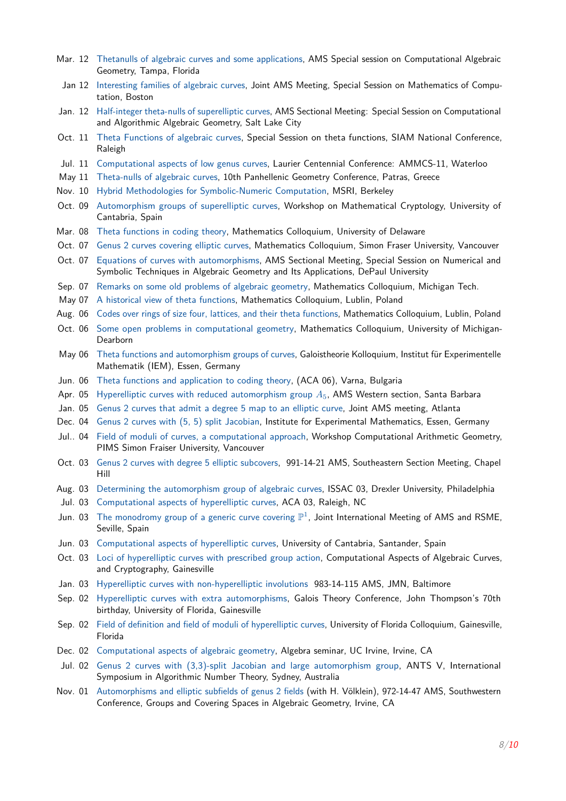- Mar. 12 Thetanulls of algebraic curves and some applications, AMS Special session on Computational Algebraic Geometry, Tampa, Florida
- Jan 12 Interesting families of algebraic curves, Joint AMS Meeting, Special Session on Mathematics of Computation, Boston
- Jan. 12 Half-integer theta-nulls of superelliptic curves, AMS Sectional Meeting: Special Session on Computational and Algorithmic Algebraic Geometry, Salt Lake City
- Oct. 11 Theta Functions of algebraic curves, Special Session on theta functions, SIAM National Conference, Raleigh
- Jul. 11 Computational aspects of low genus curves, Laurier Centennial Conference: AMMCS-11, Waterloo
- May 11 Theta-nulls of algebraic curves, 10th Panhellenic Geometry Conference, Patras, Greece
- Nov. 10 Hybrid Methodologies for Symbolic-Numeric Computation, MSRI, Berkeley
- Oct. 09 Automorphism groups of superelliptic curves, Workshop on Mathematical Cryptology, University of Cantabria, Spain
- Mar. 08 Theta functions in coding theory, Mathematics Colloquium, University of Delaware
- Oct. 07 Genus 2 curves covering elliptic curves, Mathematics Colloquium, Simon Fraser University, Vancouver
- Oct. 07 Equations of curves with automorphisms, AMS Sectional Meeting, Special Session on Numerical and Symbolic Techniques in Algebraic Geometry and Its Applications, DePaul University
- Sep. 07 Remarks on some old problems of algebraic geometry, Mathematics Colloquium, Michigan Tech.
- May 07 A historical view of theta functions, Mathematics Colloquium, Lublin, Poland
- Aug. 06 Codes over rings of size four, lattices, and their theta functions, Mathematics Colloquium, Lublin, Poland
- Oct. 06 Some open problems in computational geometry, Mathematics Colloquium, University of Michigan-Dearborn
- May 06 Theta functions and automorphism groups of curves, Galoistheorie Kolloquium, Institut für Experimentelle Mathematik (IEM), Essen, Germany
- Jun. 06 Theta functions and application to coding theory, (ACA 06), Varna, Bulgaria
- Apr. 05 Hyperelliptic curves with reduced automorphism group *A*5, AMS Western section, Santa Barbara
- Jan. 05 Genus 2 curves that admit a degree 5 map to an elliptic curve, Joint AMS meeting, Atlanta
- Dec. 04 Genus 2 curves with (5, 5) split Jacobian, Institute for Experimental Mathematics, Essen, Germany
- Jul.. 04 Field of moduli of curves, a computational approach, Workshop Computational Arithmetic Geometry, PIMS Simon Fraiser University, Vancouver
- Oct. 03 Genus 2 curves with degree 5 elliptic subcovers, 991-14-21 AMS, Southeastern Section Meeting, Chapel Hill
- Aug. 03 Determining the automorphism group of algebraic curves, ISSAC 03, Drexler University, Philadelphia
- Jul. 03 Computational aspects of hyperelliptic curves, ACA 03, Raleigh, NC
- Jun. 03 The monodromy group of a generic curve covering  $\mathbb{P}^1$ , Joint International Meeting of AMS and RSME, Seville, Spain
- Jun. 03 Computational aspects of hyperelliptic curves, University of Cantabria, Santander, Spain
- Oct. 03 Loci of hyperelliptic curves with prescribed group action, Computational Aspects of Algebraic Curves, and Cryptography, Gainesville
- Jan. 03 Hyperelliptic curves with non-hyperelliptic involutions 983-14-115 AMS, JMN, Baltimore
- Sep. 02 Hyperelliptic curves with extra automorphisms, Galois Theory Conference, John Thompson's 70th birthday, University of Florida, Gainesville
- Sep. 02 Field of definition and field of moduli of hyperelliptic curves, University of Florida Colloquium, Gainesville, Florida
- Dec. 02 Computational aspects of algebraic geometry, Algebra seminar, UC Irvine, Irvine, CA
- Jul. 02 Genus 2 curves with (3,3)-split Jacobian and large automorphism group, ANTS V, International Symposium in Algorithmic Number Theory, Sydney, Australia
- Nov. 01 Automorphisms and elliptic subfields of genus 2 fields (with H. Völklein), 972-14-47 AMS, Southwestern Conference, Groups and Covering Spaces in Algebraic Geometry, Irvine, CA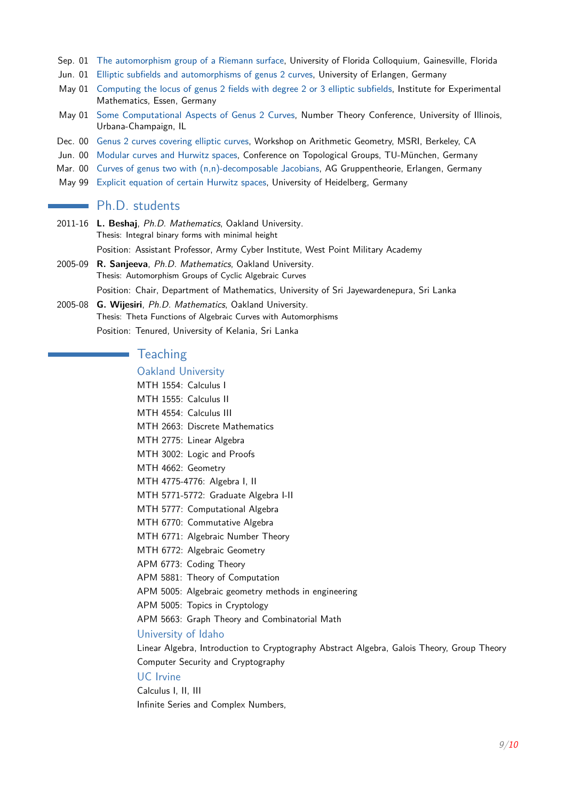- Sep. 01 The automorphism group of a Riemann surface, University of Florida Colloquium, Gainesville, Florida
- Jun. 01 Elliptic subfields and automorphisms of genus 2 curves, University of Erlangen, Germany
- May 01 Computing the locus of genus 2 fields with degree 2 or 3 elliptic subfields, Institute for Experimental Mathematics, Essen, Germany
- May 01 Some Computational Aspects of Genus 2 Curves, Number Theory Conference, University of Illinois, Urbana-Champaign, IL
- Dec. 00 Genus 2 curves covering elliptic curves, Workshop on Arithmetic Geometry, MSRI, Berkeley, CA
- Jun. 00 Modular curves and Hurwitz spaces, Conference on Topological Groups, TU-München, Germany
- Mar. 00 Curves of genus two with (n,n)-decomposable Jacobians, AG Gruppentheorie, Erlangen, Germany
- May 99 Explicit equation of certain Hurwitz spaces, University of Heidelberg, Germany

# **Ph.D.** students

- 2011-16 **L. Beshaj**, Ph.D. Mathematics, Oakland University. Thesis: Integral binary forms with minimal height Position: Assistant Professor, Army Cyber Institute, West Point Military Academy
- 2005-09 **R. Sanjeeva**, Ph.D. Mathematics, Oakland University. Thesis: Automorphism Groups of Cyclic Algebraic Curves Position: Chair, Department of Mathematics, University of Sri Jayewardenepura, Sri Lanka
- 2005-08 **G. Wijesiri**, Ph.D. Mathematics, Oakland University. Thesis: Theta Functions of Algebraic Curves with Automorphisms Position: Tenured, University of Kelania, Sri Lanka

### **Teaching**

### Oakland University

MTH 1554: Calculus I MTH 1555: Calculus II MTH 4554: Calculus III MTH 2663: Discrete Mathematics MTH 2775: Linear Algebra MTH 3002: Logic and Proofs MTH 4662: Geometry MTH 4775-4776: Algebra I, II MTH 5771-5772: Graduate Algebra I-II MTH 5777: Computational Algebra MTH 6770: Commutative Algebra MTH 6771: Algebraic Number Theory MTH 6772: Algebraic Geometry APM 6773: Coding Theory APM 5881: Theory of Computation APM 5005: Algebraic geometry methods in engineering APM 5005: Topics in Cryptology APM 5663: Graph Theory and Combinatorial Math University of Idaho

Linear Algebra, Introduction to Cryptography Abstract Algebra, Galois Theory, Group Theory Computer Security and Cryptography

### UC Irvine

Calculus I, II, III Infinite Series and Complex Numbers,